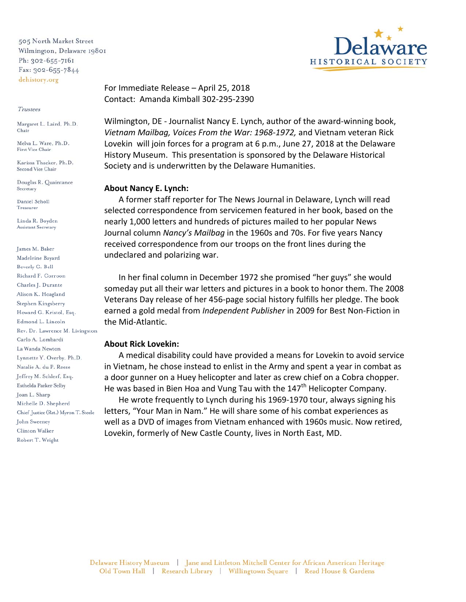505 North Market Street Wilmington, Delaware 19801 Ph: 302-655-7161 Fax: 302-655-7844 dehistory.org

## Trustees

Margaret L. Laird, Ph.D. Chair

Melva L. Ware, Ph.D. First Vice Chair

Karissa Thacker, Ph.D. Second Vice Chair

Douglas R. Quaintance Secretary

Daniel Scholl Treasurer

Linda R. Boyden Assistant Secretary

James M. Baker Madeleine Bayard Beverly G. Bell Richard F. Corroon Charles J. Durante Alison K. Hoagland Stephen Kingsberry Howard G. Kristol, Esq. Edmond L. Lincoln Rev. Dr. Lawrence M. Livingston Carlo A. Lombardi La Wanda Newton Lynnette Y. Overby, Ph.D. Natalie A. du P. Reese Jeffrey M. Schlerf, Esq. Esthelda Parker Selby Joan L. Sharp Michelle D. Shepherd Chief Justice (Ret.) Myron T. Steele John Sweeney Clinton Walker Robert T. Wright

For Immediate Release – April 25, 2018 Contact: Amanda Kimball 302-295-2390

Wilmington, DE - Journalist Nancy E. Lynch, author of the award-winning book, *Vietnam Mailbag, Voices From the War: 1968-1972,* and Vietnam veteran Rick Lovekin will join forces for a program at 6 p.m., June 27, 2018 at the Delaware History Museum. This presentation is sponsored by the Delaware Historical Society and is underwritten by the Delaware Humanities.

## **About Nancy E. Lynch:**

 A former staff reporter for The News Journal in Delaware, Lynch will read selected correspondence from servicemen featured in her book, based on the nearly 1,000 letters and hundreds of pictures mailed to her popular News Journal column *Nancy's Mailbag* in the 1960s and 70s. For five years Nancy received correspondence from our troops on the front lines during the undeclared and polarizing war.

 In her final column in December 1972 she promised "her guys" she would someday put all their war letters and pictures in a book to honor them. The 2008 Veterans Day release of her 456-page social history fulfills her pledge. The book earned a gold medal from *Independent Publisher* in 2009 for Best Non-Fiction in the Mid-Atlantic.

## **About Rick Lovekin:**

 A medical disability could have provided a means for Lovekin to avoid service in Vietnam, he chose instead to enlist in the Army and spent a year in combat as a door gunner on a Huey helicopter and later as crew chief on a Cobra chopper. He was based in Bien Hoa and Vung Tau with the  $147<sup>th</sup>$  Helicopter Company.

 He wrote frequently to Lynch during his 1969-1970 tour, always signing his letters, "Your Man in Nam." He will share some of his combat experiences as well as a DVD of images from Vietnam enhanced with 1960s music. Now retired, Lovekin, formerly of New Castle County, lives in North East, MD.